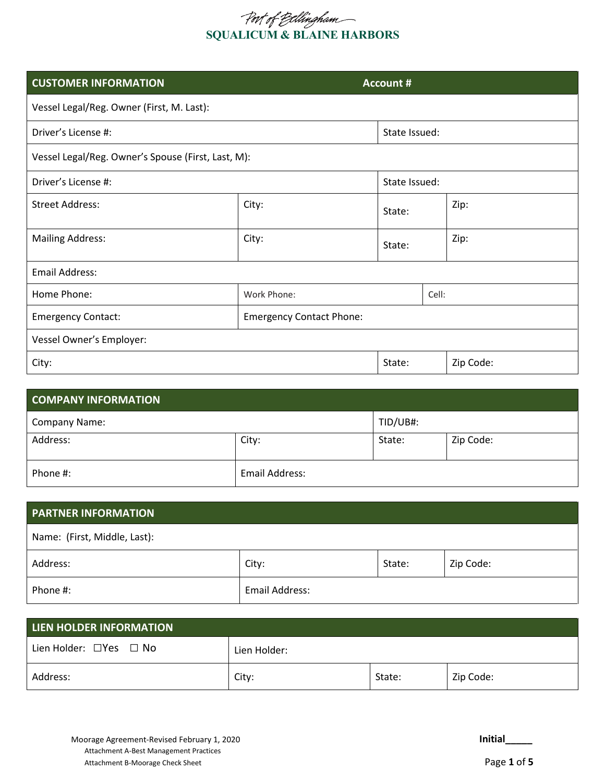# **SQUALICUM & BLAINE HARBORS**

| <b>CUSTOMER INFORMATION</b>                        |                                 | <b>Account #</b> |               |           |  |
|----------------------------------------------------|---------------------------------|------------------|---------------|-----------|--|
| Vessel Legal/Reg. Owner (First, M. Last):          |                                 |                  |               |           |  |
| Driver's License #:                                |                                 |                  | State Issued: |           |  |
| Vessel Legal/Reg. Owner's Spouse (First, Last, M): |                                 |                  |               |           |  |
| Driver's License #:                                |                                 | State Issued:    |               |           |  |
| <b>Street Address:</b>                             | City:                           | State:           |               | Zip:      |  |
| <b>Mailing Address:</b>                            | City:                           | State:           |               | Zip:      |  |
| <b>Email Address:</b>                              |                                 |                  |               |           |  |
| Home Phone:<br>Work Phone:                         |                                 |                  | Cell:         |           |  |
| <b>Emergency Contact:</b>                          | <b>Emergency Contact Phone:</b> |                  |               |           |  |
| Vessel Owner's Employer:                           |                                 |                  |               |           |  |
| City:                                              |                                 | State:           |               | Zip Code: |  |

| <b>COMPANY INFORMATION</b> |                |          |           |  |
|----------------------------|----------------|----------|-----------|--|
| <b>Company Name:</b>       |                | TID/UB#: |           |  |
| Address:                   | City:          | State:   | Zip Code: |  |
| Phone #:                   | Email Address: |          |           |  |

| <b>PARTNER INFORMATION</b>   |                |        |           |
|------------------------------|----------------|--------|-----------|
| Name: (First, Middle, Last): |                |        |           |
| Address:                     | City:          | State: | Zip Code: |
| Phone #:                     | Email Address: |        |           |

| LIEN HOLDER INFORMATION           |              |        |           |  |
|-----------------------------------|--------------|--------|-----------|--|
| Lien Holder: $\Box$ Yes $\Box$ No | Lien Holder: |        |           |  |
| Address:                          | City:        | State: | Zip Code: |  |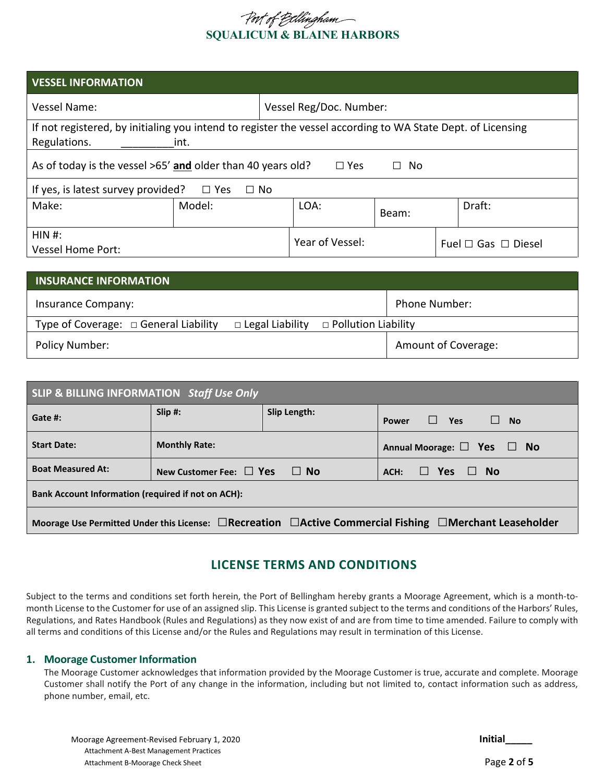# **SQUALICUM & BLAINE HARBORS**

| <b>VESSEL INFORMATION</b>                                                                                   |        |  |                 |       |  |                               |
|-------------------------------------------------------------------------------------------------------------|--------|--|-----------------|-------|--|-------------------------------|
| Vessel Reg/Doc. Number:<br>Vessel Name:                                                                     |        |  |                 |       |  |                               |
| If not registered, by initialing you intend to register the vessel according to WA State Dept. of Licensing |        |  |                 |       |  |                               |
| Regulations.                                                                                                | int.   |  |                 |       |  |                               |
| As of today is the vessel >65' and older than 40 years old?<br>$\Box$ Yes<br>No.<br>П                       |        |  |                 |       |  |                               |
| If yes, is latest survey provided?<br>$\square$ Yes<br>$\Box$ No                                            |        |  |                 |       |  |                               |
| Make:                                                                                                       | Model: |  | LOA:            | Beam: |  | Draft:                        |
| HIN H:<br><b>Vessel Home Port:</b>                                                                          |        |  | Year of Vessel: |       |  | Fuel $\Box$ Gas $\Box$ Diesel |

| <b>INSURANCE INFORMATION</b>               |                                                   |                      |
|--------------------------------------------|---------------------------------------------------|----------------------|
| Insurance Company:                         |                                                   | <b>Phone Number:</b> |
| Type of Coverage: $\Box$ General Liability | $\Box$ Legal Liability $\Box$ Pollution Liability |                      |
| Policy Number:                             |                                                   | Amount of Coverage:  |

| SLIP & BILLING INFORMATION Staff Use Only                                                                                |                                        |              |                                                   |  |  |
|--------------------------------------------------------------------------------------------------------------------------|----------------------------------------|--------------|---------------------------------------------------|--|--|
| Gate #:                                                                                                                  | Slip #:                                | Slip Length: | $\Box$<br>$\Box$ Yes<br><b>No</b><br><b>Power</b> |  |  |
| <b>Start Date:</b>                                                                                                       | <b>Monthly Rate:</b>                   |              | Annual Moorage: $\Box$ Yes $\Box$ No              |  |  |
| <b>Boat Measured At:</b>                                                                                                 | New Customer Fee: $\Box$ Yes<br>∣ I No |              | ll Yes<br>II No<br>ACH:                           |  |  |
| <b>Bank Account Information (required if not on ACH):</b>                                                                |                                        |              |                                                   |  |  |
| Moorage Use Permitted Under this License: $\Box$ Recreation $\Box$ Active Commercial Fishing $\Box$ Merchant Leaseholder |                                        |              |                                                   |  |  |

# **LICENSE TERMS AND CONDITIONS**

Subject to the terms and conditions set forth herein, the Port of Bellingham hereby grants a Moorage Agreement, which is a month-tomonth License to the Customer for use of an assigned slip. This License is granted subject to the terms and conditions of the Harbors' Rules, Regulations, and Rates Handbook (Rules and Regulations) as they now exist of and are from time to time amended. Failure to comply with all terms and conditions of this License and/or the Rules and Regulations may result in termination of this License.

#### **1. Moorage Customer Information**

The Moorage Customer acknowledges that information provided by the Moorage Customer is true, accurate and complete. Moorage Customer shall notify the Port of any change in the information, including but not limited to, contact information such as address, phone number, email, etc.

| Moorage Agreement-Revised February 1, 2020 | <b>Initial</b> |
|--------------------------------------------|----------------|
| Attachment A-Best Management Practices     |                |
| Attachment B-Moorage Check Sheet           | Page 2 of 5    |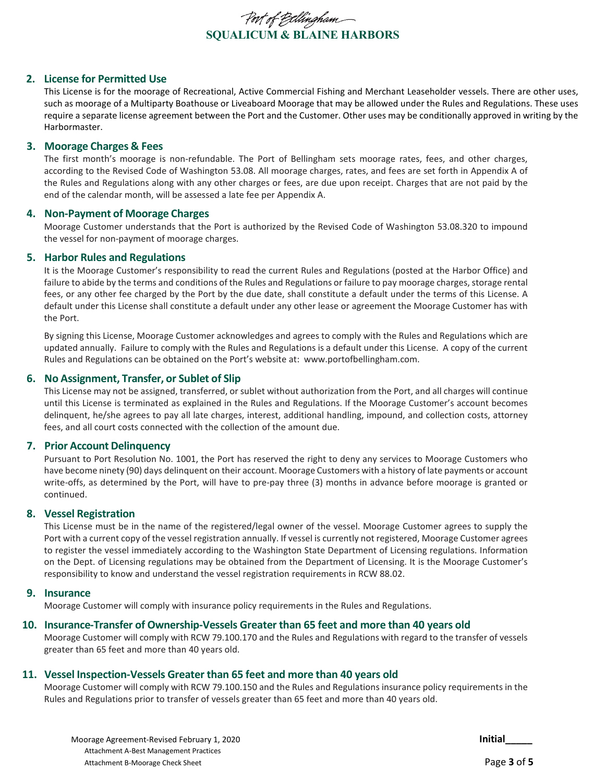

#### **2. License for Permitted Use**

This License is for the moorage of Recreational, Active Commercial Fishing and Merchant Leaseholder vessels. There are other uses, such as moorage of a Multiparty Boathouse or Liveaboard Moorage that may be allowed under the Rules and Regulations. These uses require a separate license agreement between the Port and the Customer. Other uses may be conditionally approved in writing by the Harbormaster.

#### **3. Moorage Charges & Fees**

The first month's moorage is non-refundable. The Port of Bellingham sets moorage rates, fees, and other charges, according to the Revised Code of Washington 53.08. All moorage charges, rates, and fees are set forth in Appendix A of the Rules and Regulations along with any other charges or fees, are due upon receipt. Charges that are not paid by the end of the calendar month, will be assessed a late fee per Appendix A.

#### **4. Non-Payment of Moorage Charges**

Moorage Customer understands that the Port is authorized by the Revised Code of Washington 53.08.320 to impound the vessel for non-payment of moorage charges.

#### **5. Harbor Rules and Regulations**

It is the Moorage Customer's responsibility to read the current Rules and Regulations (posted at the Harbor Office) and failure to abide by the terms and conditions of the Rules and Regulations or failure to pay moorage charges, storage rental fees, or any other fee charged by the Port by the due date, shall constitute a default under the terms of this License. A default under this License shall constitute a default under any other lease or agreement the Moorage Customer has with the Port.

By signing this License, Moorage Customer acknowledges and agrees to comply with the Rules and Regulations which are updated annually. Failure to comply with the Rules and Regulations is a default under this License. A copy of the current Rules and Regulations can be obtained on the Port's website at: www.portofbellingham.com.

#### **6. No Assignment, Transfer, or Sublet of Slip**

This License may not be assigned, transferred, or sublet without authorization from the Port, and all charges will continue until this License is terminated as explained in the Rules and Regulations. If the Moorage Customer's account becomes delinquent, he/she agrees to pay all late charges, interest, additional handling, impound, and collection costs, attorney fees, and all court costs connected with the collection of the amount due.

#### **7. Prior Account Delinquency**

Pursuant to Port Resolution No. 1001, the Port has reserved the right to deny any services to Moorage Customers who have become ninety (90) days delinquent on their account. Moorage Customers with a history of late payments or account write-offs, as determined by the Port, will have to pre-pay three (3) months in advance before moorage is granted or continued.

#### **8. Vessel Registration**

This License must be in the name of the registered/legal owner of the vessel. Moorage Customer agrees to supply the Port with a current copy of the vessel registration annually. If vessel is currently not registered, Moorage Customer agrees to register the vessel immediately according to the Washington State Department of Licensing regulations. Information on the Dept. of Licensing regulations may be obtained from the Department of Licensing. It is the Moorage Customer's responsibility to know and understand the vessel registration requirements in RCW 88.02.

#### **9. Insurance**

Moorage Customer will comply with insurance policy requirements in the Rules and Regulations.

#### **10. Insurance-Transfer of Ownership-Vessels Greater than 65 feet and more than 40 years old**

Moorage Customer will comply with RCW 79.100.170 and the Rules and Regulations with regard to the transfer of vessels greater than 65 feet and more than 40 years old.

# **11. Vessel Inspection-Vessels Greater than 65 feet and more than 40 years old**

Moorage Customer will comply with RCW 79.100.150 and the Rules and Regulations insurance policy requirements in the Rules and Regulations prior to transfer of vessels greater than 65 feet and more than 40 years old.

Moorage Agreement-Revised February 1, 2020 **Initial\_\_\_\_\_** Attachment A-Best Management Practices Attachment B-Moorage Check Sheet **Page 3 of 5** attachment B-Moorage Check Sheet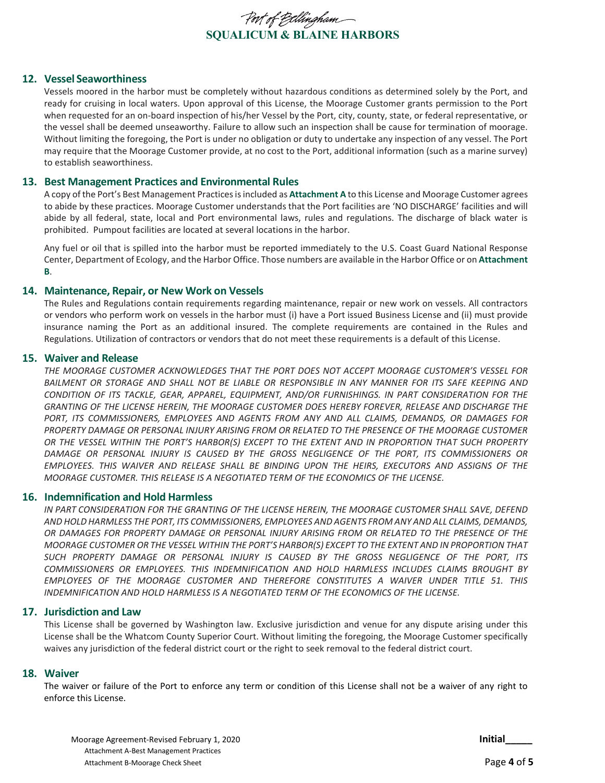

#### **12. Vessel Seaworthiness**

Vessels moored in the harbor must be completely without hazardous conditions as determined solely by the Port, and ready for cruising in local waters. Upon approval of this License, the Moorage Customer grants permission to the Port when requested for an on-board inspection of his/her Vessel by the Port, city, county, state, or federal representative, or the vessel shall be deemed unseaworthy. Failure to allow such an inspection shall be cause for termination of moorage. Without limiting the foregoing, the Port is under no obligation or duty to undertake any inspection of any vessel. The Port may require that the Moorage Customer provide, at no cost to the Port, additional information (such as a marine survey) to establish seaworthiness.

#### **13. Best Management Practices and Environmental Rules**

A copy of the Port's Best Management Practices is included as **Attachment A** to this License and Moorage Customer agrees to abide by these practices. Moorage Customer understands that the Port facilities are 'NO DISCHARGE' facilities and will abide by all federal, state, local and Port environmental laws, rules and regulations. The discharge of black water is prohibited. Pumpout facilities are located at several locations in the harbor.

Any fuel or oil that is spilled into the harbor must be reported immediately to the U.S. Coast Guard National Response Center, Department of Ecology, and the Harbor Office. Those numbers are available in the Harbor Office or on **Attachment B**.

#### **14. Maintenance, Repair, or New Work on Vessels**

The Rules and Regulations contain requirements regarding maintenance, repair or new work on vessels. All contractors or vendors who perform work on vessels in the harbor must (i) have a Port issued Business License and (ii) must provide insurance naming the Port as an additional insured. The complete requirements are contained in the Rules and Regulations. Utilization of contractors or vendors that do not meet these requirements is a default of this License.

#### **15. Waiver and Release**

*THE MOORAGE CUSTOMER ACKNOWLEDGES THAT THE PORT DOES NOT ACCEPT MOORAGE CUSTOMER'S VESSEL FOR BAILMENT OR STORAGE AND SHALL NOT BE LIABLE OR RESPONSIBLE IN ANY MANNER FOR ITS SAFE KEEPING AND CONDITION OF ITS TACKLE, GEAR, APPAREL, EQUIPMENT, AND/OR FURNISHINGS. IN PART CONSIDERATION FOR THE GRANTING OF THE LICENSE HEREIN, THE MOORAGE CUSTOMER DOES HEREBY FOREVER, RELEASE AND DISCHARGE THE PORT, ITS COMMISSIONERS, EMPLOYEES AND AGENTS FROM ANY AND ALL CLAIMS, DEMANDS, OR DAMAGES FOR PROPERTY DAMAGE OR PERSONAL INJURY ARISING FROM OR RELATED TO THE PRESENCE OF THE MOORAGE CUSTOMER OR THE VESSEL WITHIN THE PORT'S HARBOR(S) EXCEPT TO THE EXTENT AND IN PROPORTION THAT SUCH PROPERTY DAMAGE OR PERSONAL INJURY IS CAUSED BY THE GROSS NEGLIGENCE OF THE PORT, ITS COMMISSIONERS OR EMPLOYEES. THIS WAIVER AND RELEASE SHALL BE BINDING UPON THE HEIRS, EXECUTORS AND ASSIGNS OF THE MOORAGE CUSTOMER. THIS RELEASE IS A NEGOTIATED TERM OF THE ECONOMICS OF THE LICENSE.*

#### **16. Indemnification and Hold Harmless**

*IN PART CONSIDERATION FOR THE GRANTING OF THE LICENSE HEREIN, THE MOORAGE CUSTOMER SHALL SAVE, DEFEND AND HOLD HARMLESS THE PORT, ITS COMMISSIONERS, EMPLOYEES AND AGENTS FROM ANY AND ALL CLAIMS, DEMANDS, OR DAMAGES FOR PROPERTY DAMAGE OR PERSONAL INJURY ARISING FROM OR RELATED TO THE PRESENCE OF THE MOORAGE CUSTOMER OR THE VESSEL WITHIN THE PORT'S HARBOR(S) EXCEPT TO THE EXTENT AND IN PROPORTION THAT SUCH PROPERTY DAMAGE OR PERSONAL INJURY IS CAUSED BY THE GROSS NEGLIGENCE OF THE PORT, ITS COMMISSIONERS OR EMPLOYEES. THIS INDEMNIFICATION AND HOLD HARMLESS INCLUDES CLAIMS BROUGHT BY EMPLOYEES OF THE MOORAGE CUSTOMER AND THEREFORE CONSTITUTES A WAIVER UNDER TITLE 51. THIS INDEMNIFICATION AND HOLD HARMLESS IS A NEGOTIATED TERM OF THE ECONOMICS OF THE LICENSE.*

#### **17. Jurisdiction and Law**

This License shall be governed by Washington law. Exclusive jurisdiction and venue for any dispute arising under this License shall be the Whatcom County Superior Court. Without limiting the foregoing, the Moorage Customer specifically waives any jurisdiction of the federal district court or the right to seek removal to the federal district court.

#### **18. Waiver**

The waiver or failure of the Port to enforce any term or condition of this License shall not be a waiver of any right to enforce this License.

Moorage Agreement-Revised February 1, 2020 **Initial\_\_\_\_\_** Attachment A-Best Management Practices Attachment B-Moorage Check Sheet **Page 4 of 5** attachment B-Moorage Check Sheet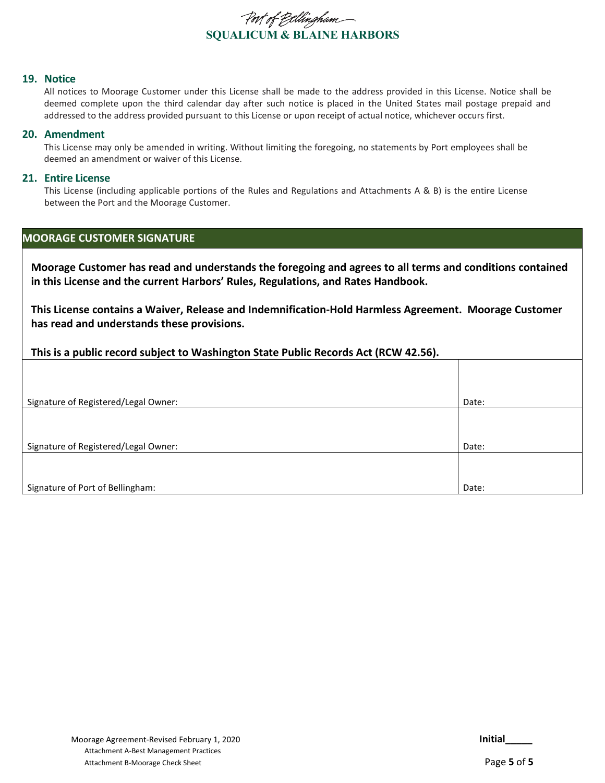

#### **19. Notice**

All notices to Moorage Customer under this License shall be made to the address provided in this License. Notice shall be deemed complete upon the third calendar day after such notice is placed in the United States mail postage prepaid and addressed to the address provided pursuant to this License or upon receipt of actual notice, whichever occurs first.

#### **20. Amendment**

This License may only be amended in writing. Without limiting the foregoing, no statements by Port employees shall be deemed an amendment or waiver of this License.

#### **21. Entire License**

This License (including applicable portions of the Rules and Regulations and Attachments A & B) is the entire License between the Port and the Moorage Customer.

#### **MOORAGE CUSTOMER SIGNATURE**

**Moorage Customer has read and understands the foregoing and agrees to all terms and conditions contained in this License and the current Harbors' Rules, Regulations, and Rates Handbook.**

**This License contains a Waiver, Release and Indemnification-Hold Harmless Agreement. Moorage Customer has read and understands these provisions.**

| This is a public record subject to Washington State Public Records Act (RCW 42.56). |  |  |  |  |
|-------------------------------------------------------------------------------------|--|--|--|--|
|-------------------------------------------------------------------------------------|--|--|--|--|

| Signature of Registered/Legal Owner: | Date: |
|--------------------------------------|-------|
|                                      |       |
|                                      |       |
| Signature of Registered/Legal Owner: | Date: |
|                                      |       |
|                                      |       |
| Signature of Port of Bellingham:     | Date: |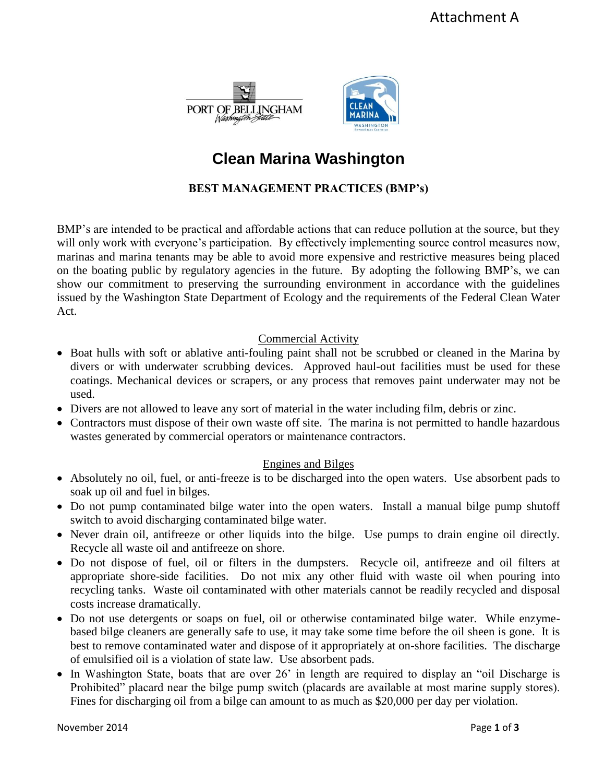



# **Clean Marina Washington**

# **BEST MANAGEMENT PRACTICES (BMP's)**

BMP's are intended to be practical and affordable actions that can reduce pollution at the source, but they will only work with everyone's participation. By effectively implementing source control measures now, marinas and marina tenants may be able to avoid more expensive and restrictive measures being placed on the boating public by regulatory agencies in the future. By adopting the following BMP's, we can show our commitment to preserving the surrounding environment in accordance with the guidelines issued by the Washington State Department of Ecology and the requirements of the Federal Clean Water Act.

# Commercial Activity

- Boat hulls with soft or ablative anti-fouling paint shall not be scrubbed or cleaned in the Marina by divers or with underwater scrubbing devices. Approved haul-out facilities must be used for these coatings. Mechanical devices or scrapers, or any process that removes paint underwater may not be used.
- Divers are not allowed to leave any sort of material in the water including film, debris or zinc.
- Contractors must dispose of their own waste off site. The marina is not permitted to handle hazardous wastes generated by commercial operators or maintenance contractors.

# Engines and Bilges

- Absolutely no oil, fuel, or anti-freeze is to be discharged into the open waters. Use absorbent pads to soak up oil and fuel in bilges.
- Do not pump contaminated bilge water into the open waters. Install a manual bilge pump shutoff switch to avoid discharging contaminated bilge water.
- Never drain oil, antifreeze or other liquids into the bilge. Use pumps to drain engine oil directly. Recycle all waste oil and antifreeze on shore.
- Do not dispose of fuel, oil or filters in the dumpsters. Recycle oil, antifreeze and oil filters at appropriate shore-side facilities. Do not mix any other fluid with waste oil when pouring into recycling tanks. Waste oil contaminated with other materials cannot be readily recycled and disposal costs increase dramatically.
- Do not use detergents or soaps on fuel, oil or otherwise contaminated bilge water. While enzymebased bilge cleaners are generally safe to use, it may take some time before the oil sheen is gone. It is best to remove contaminated water and dispose of it appropriately at on-shore facilities. The discharge of emulsified oil is a violation of state law. Use absorbent pads.
- In Washington State, boats that are over 26' in length are required to display an "oil Discharge is Prohibited" placard near the bilge pump switch (placards are available at most marine supply stores). Fines for discharging oil from a bilge can amount to as much as \$20,000 per day per violation.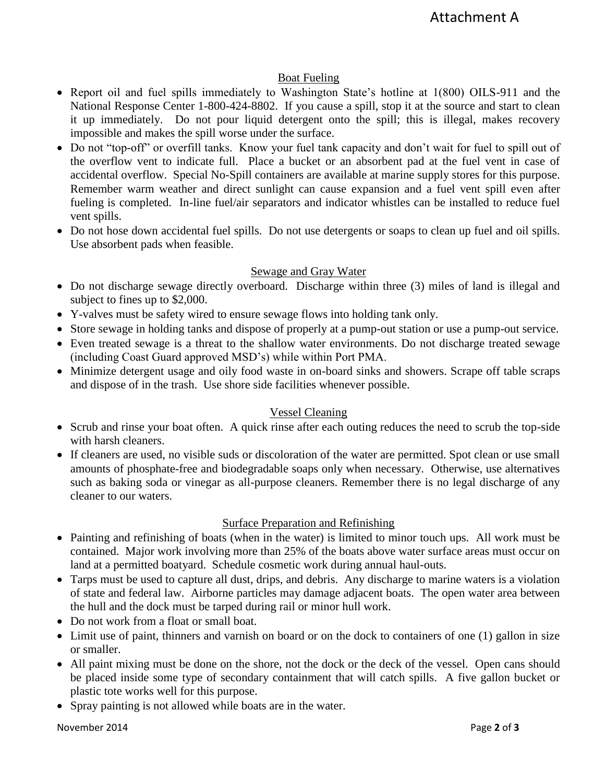# Boat Fueling

- Report oil and fuel spills immediately to Washington State's hotline at 1(800) OILS-911 and the National Response Center 1-800-424-8802. If you cause a spill, stop it at the source and start to clean it up immediately. Do not pour liquid detergent onto the spill; this is illegal, makes recovery impossible and makes the spill worse under the surface.
- Do not "top-off" or overfill tanks. Know your fuel tank capacity and don't wait for fuel to spill out of the overflow vent to indicate full. Place a bucket or an absorbent pad at the fuel vent in case of accidental overflow. Special No-Spill containers are available at marine supply stores for this purpose. Remember warm weather and direct sunlight can cause expansion and a fuel vent spill even after fueling is completed. In-line fuel/air separators and indicator whistles can be installed to reduce fuel vent spills.
- Do not hose down accidental fuel spills. Do not use detergents or soaps to clean up fuel and oil spills. Use absorbent pads when feasible.

# Sewage and Gray Water

- Do not discharge sewage directly overboard. Discharge within three (3) miles of land is illegal and subject to fines up to \$2,000.
- Y-valves must be safety wired to ensure sewage flows into holding tank only.
- Store sewage in holding tanks and dispose of properly at a pump-out station or use a pump-out service.
- Even treated sewage is a threat to the shallow water environments. Do not discharge treated sewage (including Coast Guard approved MSD's) while within Port PMA.
- Minimize detergent usage and oily food waste in on-board sinks and showers. Scrape off table scraps and dispose of in the trash. Use shore side facilities whenever possible.

# Vessel Cleaning

- Scrub and rinse your boat often. A quick rinse after each outing reduces the need to scrub the top-side with harsh cleaners.
- If cleaners are used, no visible suds or discoloration of the water are permitted. Spot clean or use small amounts of phosphate-free and biodegradable soaps only when necessary. Otherwise, use alternatives such as baking soda or vinegar as all-purpose cleaners. Remember there is no legal discharge of any cleaner to our waters.

# Surface Preparation and Refinishing

- Painting and refinishing of boats (when in the water) is limited to minor touch ups. All work must be contained. Major work involving more than 25% of the boats above water surface areas must occur on land at a permitted boatyard. Schedule cosmetic work during annual haul-outs.
- Tarps must be used to capture all dust, drips, and debris. Any discharge to marine waters is a violation of state and federal law. Airborne particles may damage adjacent boats. The open water area between the hull and the dock must be tarped during rail or minor hull work.
- Do not work from a float or small boat.
- Limit use of paint, thinners and varnish on board or on the dock to containers of one (1) gallon in size or smaller.
- All paint mixing must be done on the shore, not the dock or the deck of the vessel. Open cans should be placed inside some type of secondary containment that will catch spills. A five gallon bucket or plastic tote works well for this purpose.
- Spray painting is not allowed while boats are in the water.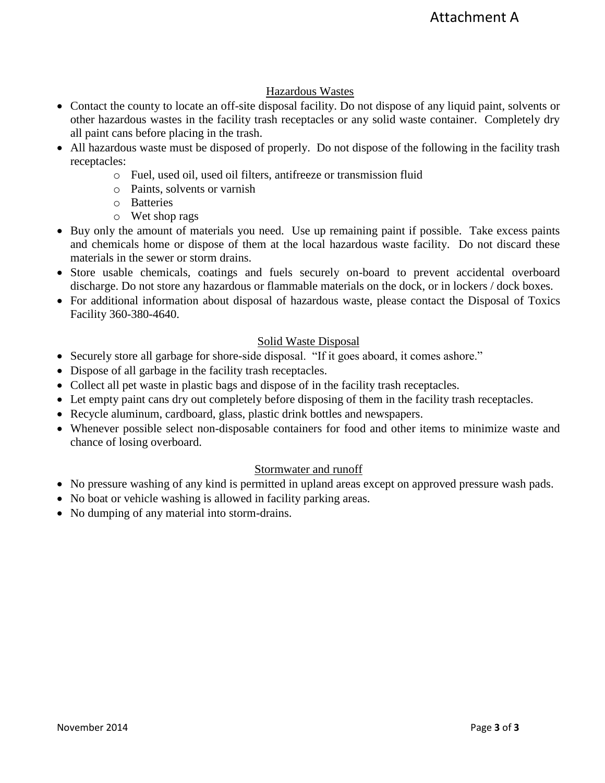# Hazardous Wastes

- Contact the county to locate an off-site disposal facility. Do not dispose of any liquid paint, solvents or other hazardous wastes in the facility trash receptacles or any solid waste container. Completely dry all paint cans before placing in the trash.
- All hazardous waste must be disposed of properly. Do not dispose of the following in the facility trash receptacles:
	- o Fuel, used oil, used oil filters, antifreeze or transmission fluid
	- o Paints, solvents or varnish
	- o Batteries
	- o Wet shop rags
- Buy only the amount of materials you need. Use up remaining paint if possible. Take excess paints and chemicals home or dispose of them at the local hazardous waste facility. Do not discard these materials in the sewer or storm drains.
- Store usable chemicals, coatings and fuels securely on-board to prevent accidental overboard discharge. Do not store any hazardous or flammable materials on the dock, or in lockers / dock boxes.
- For additional information about disposal of hazardous waste, please contact the Disposal of Toxics Facility 360-380-4640.

# Solid Waste Disposal

- Securely store all garbage for shore-side disposal. "If it goes aboard, it comes ashore."
- Dispose of all garbage in the facility trash receptacles.
- Collect all pet waste in plastic bags and dispose of in the facility trash receptacles.
- Let empty paint cans dry out completely before disposing of them in the facility trash receptacles.
- Recycle aluminum, cardboard, glass, plastic drink bottles and newspapers.
- Whenever possible select non-disposable containers for food and other items to minimize waste and chance of losing overboard.

# Stormwater and runoff

- No pressure washing of any kind is permitted in upland areas except on approved pressure wash pads.
- No boat or vehicle washing is allowed in facility parking areas.
- No dumping of any material into storm-drains.